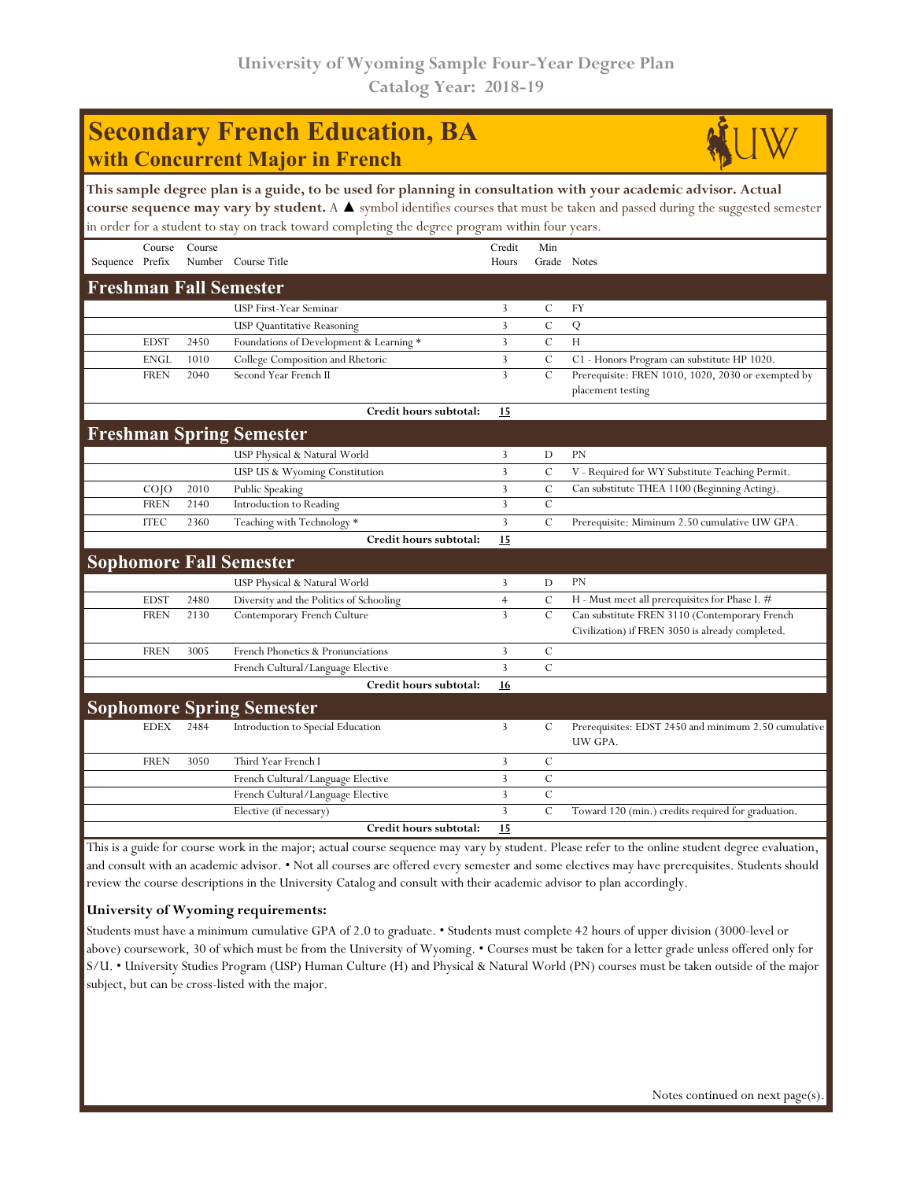## **Secondary French Education, BA with Concurrent Major in French**



**This sample degree plan is a guide, to be used for planning in consultation with your academic advisor. Actual course sequence may vary by student.** A ▲ symbol identifies courses that must be taken and passed during the suggested semester in order for a student to stay on track toward completing the degree program within four years.

|                               | Course          | Course |                                         | Credit         | Min           |                                                                         |  |  |
|-------------------------------|-----------------|--------|-----------------------------------------|----------------|---------------|-------------------------------------------------------------------------|--|--|
| Sequence Prefix               |                 | Number | Course Title                            | Hours          |               | Grade Notes                                                             |  |  |
| <b>Freshman Fall Semester</b> |                 |        |                                         |                |               |                                                                         |  |  |
|                               |                 |        | USP First-Year Seminar                  | 3              | $\mathcal{C}$ | <b>FY</b>                                                               |  |  |
|                               |                 |        | <b>USP Quantitative Reasoning</b>       | 3              | $\mathcal{C}$ | Q                                                                       |  |  |
|                               | <b>EDST</b>     | 2450   | Foundations of Development & Learning * | 3              | $\mathbf C$   | H                                                                       |  |  |
|                               | <b>ENGL</b>     | 1010   | College Composition and Rhetoric        | $\overline{3}$ | $\mathbf C$   | C1 - Honors Program can substitute HP 1020.                             |  |  |
|                               | <b>FREN</b>     | 2040   | Second Year French II                   | $\overline{3}$ | $\mathbf C$   | Prerequisite: FREN 1010, 1020, 2030 or exempted by<br>placement testing |  |  |
|                               |                 |        | Credit hours subtotal:                  | 15             |               |                                                                         |  |  |
|                               |                 |        | <b>Freshman Spring Semester</b>         |                |               |                                                                         |  |  |
|                               |                 |        | USP Physical & Natural World            | 3              | D             | <b>PN</b>                                                               |  |  |
|                               |                 |        | USP US & Wyoming Constitution           | 3              | $\mathcal{C}$ | V - Required for WY Substitute Teaching Permit.                         |  |  |
|                               | CO <sub>1</sub> | 2010   | Public Speaking                         | 3              | $\mathcal{C}$ | Can substitute THEA 1100 (Beginning Acting).                            |  |  |
|                               | <b>FREN</b>     | 2140   | Introduction to Reading                 | 3              | $\mathbf C$   |                                                                         |  |  |
|                               | <b>ITEC</b>     | 2360   | Teaching with Technology *              | $\overline{3}$ | $\mathbf C$   | Prerequisite: Miminum 2.50 cumulative UW GPA.                           |  |  |
|                               |                 |        | Credit hours subtotal:                  | 15             |               |                                                                         |  |  |
|                               |                 |        | <b>Sophomore Fall Semester</b>          |                |               |                                                                         |  |  |
|                               |                 |        | USP Physical & Natural World            | 3              | D             | <b>PN</b>                                                               |  |  |
|                               | <b>EDST</b>     | 2480   | Diversity and the Politics of Schooling | $\overline{4}$ | $\mathcal{C}$ | H - Must meet all prerequisites for Phase I. #                          |  |  |
|                               | <b>FREN</b>     | 2130   | Contemporary French Culture             | $\overline{3}$ | $\mathbf C$   | Can substitute FREN 3110 (Contemporary French                           |  |  |
|                               |                 |        |                                         |                |               | Civilization) if FREN 3050 is already completed.                        |  |  |
|                               | <b>FREN</b>     | 3005   | French Phonetics & Pronunciations       | 3              | $\mathcal{C}$ |                                                                         |  |  |
|                               |                 |        | French Cultural/Language Elective       | $\overline{3}$ | $\mathcal{C}$ |                                                                         |  |  |
|                               |                 |        | Credit hours subtotal:                  | 16             |               |                                                                         |  |  |
|                               |                 |        | <b>Sophomore Spring Semester</b>        |                |               |                                                                         |  |  |
|                               | <b>EDEX</b>     | 2484   | Introduction to Special Education       | 3              | C             | Prerequisites: EDST 2450 and minimum 2.50 cumulative<br>UW GPA.         |  |  |
|                               | <b>FREN</b>     | 3050   | Third Year French I                     | 3              | $\mathcal{C}$ |                                                                         |  |  |
|                               |                 |        | French Cultural/Language Elective       | 3              | $\mathbf C$   |                                                                         |  |  |
|                               |                 |        | French Cultural/Language Elective       | $\overline{3}$ | $\mathbf C$   |                                                                         |  |  |
|                               |                 |        | Elective (if necessary)                 | 3              | C             | Toward 120 (min.) credits required for graduation.                      |  |  |
|                               |                 |        | Credit hours subtotal:                  | 15             |               |                                                                         |  |  |

This is a guide for course work in the major; actual course sequence may vary by student. Please refer to the online student degree evaluation, and consult with an academic advisor. • Not all courses are offered every semester and some electives may have prerequisites. Students should review the course descriptions in the University Catalog and consult with their academic advisor to plan accordingly.

### **University of Wyoming requirements:**

Students must have a minimum cumulative GPA of 2.0 to graduate. • Students must complete 42 hours of upper division (3000-level or above) coursework, 30 of which must be from the University of Wyoming. • Courses must be taken for a letter grade unless offered only for S/U. • University Studies Program (USP) Human Culture (H) and Physical & Natural World (PN) courses must be taken outside of the major subject, but can be cross-listed with the major.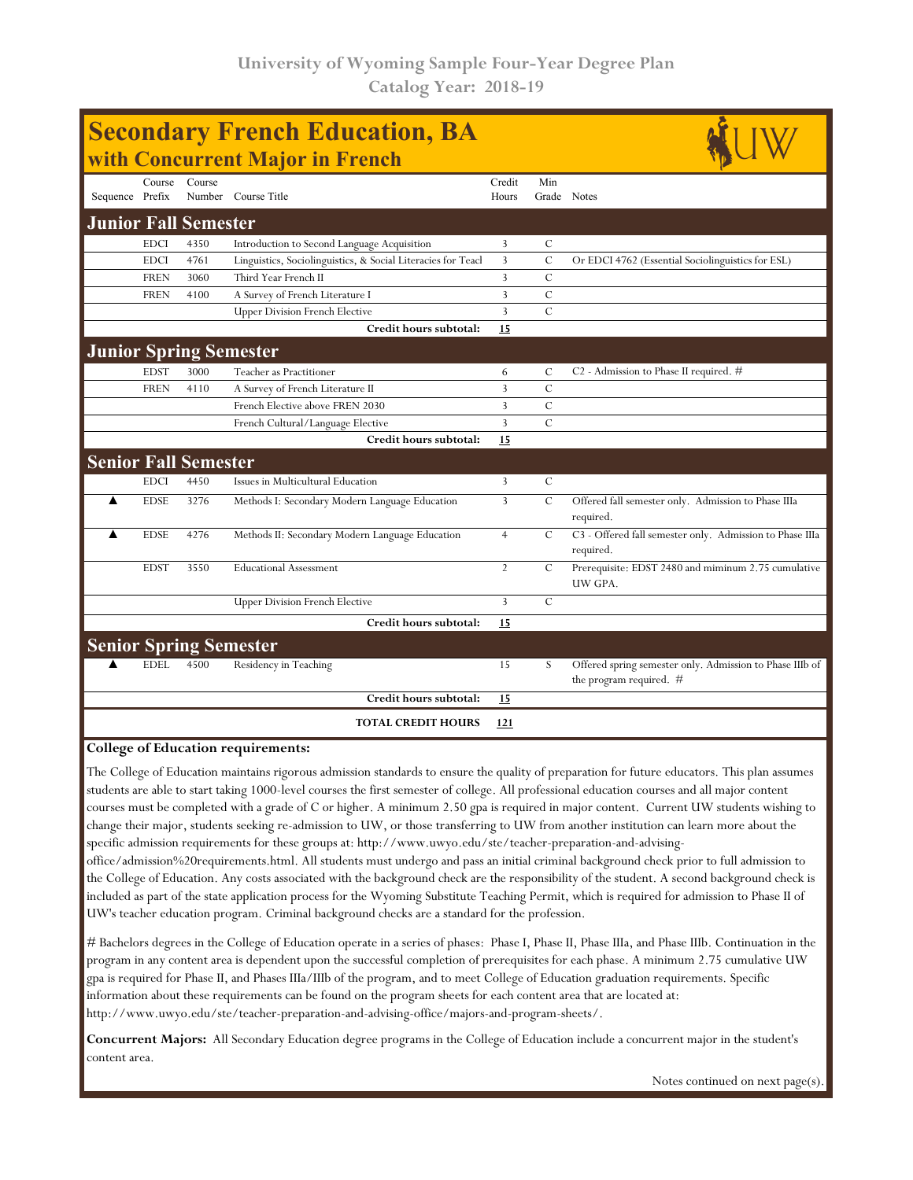| <b>Secondary French Education, BA</b><br>with Concurrent Major in French |             |                               |                                                              |                 |                |                                                                                     |  |  |  |  |
|--------------------------------------------------------------------------|-------------|-------------------------------|--------------------------------------------------------------|-----------------|----------------|-------------------------------------------------------------------------------------|--|--|--|--|
| Sequence Prefix                                                          | Course      | Course                        | Number Course Title                                          | Credit<br>Hours | Min            | Grade Notes                                                                         |  |  |  |  |
| <b>Junior Fall Semester</b>                                              |             |                               |                                                              |                 |                |                                                                                     |  |  |  |  |
|                                                                          | <b>EDCI</b> | 4350                          | Introduction to Second Language Acquisition                  | 3               | C              |                                                                                     |  |  |  |  |
|                                                                          | <b>EDCI</b> | 4761                          | Linguistics, Sociolinguistics, & Social Literacies for Teacl | 3               | $\mathcal{C}$  | Or EDCI 4762 (Essential Sociolinguistics for ESL)                                   |  |  |  |  |
|                                                                          | <b>FREN</b> | 3060                          | Third Year French II                                         | 3               | $\mathcal{C}$  |                                                                                     |  |  |  |  |
|                                                                          | <b>FREN</b> | 4100                          | A Survey of French Literature I                              | 3               | C              |                                                                                     |  |  |  |  |
|                                                                          |             |                               | <b>Upper Division French Elective</b>                        | 3               | $\overline{C}$ |                                                                                     |  |  |  |  |
|                                                                          |             |                               | Credit hours subtotal:                                       | 15              |                |                                                                                     |  |  |  |  |
|                                                                          |             |                               | <b>Junior Spring Semester</b>                                |                 |                |                                                                                     |  |  |  |  |
|                                                                          | <b>EDST</b> | 3000                          | Teacher as Practitioner                                      | 6               | C              | C2 - Admission to Phase II required. #                                              |  |  |  |  |
|                                                                          | <b>FREN</b> | 4110                          | A Survey of French Literature II                             | 3               | $\mathcal{C}$  |                                                                                     |  |  |  |  |
|                                                                          |             |                               | French Elective above FREN 2030                              | 3               | $\mathcal{C}$  |                                                                                     |  |  |  |  |
|                                                                          |             |                               | French Cultural/Language Elective                            | 3               | $\mathcal{C}$  |                                                                                     |  |  |  |  |
|                                                                          |             |                               | Credit hours subtotal:                                       | 15              |                |                                                                                     |  |  |  |  |
|                                                                          |             | <b>Senior Fall Semester</b>   |                                                              |                 |                |                                                                                     |  |  |  |  |
|                                                                          | <b>EDCI</b> | 4450                          | Issues in Multicultural Education                            | $\overline{3}$  | $\mathcal{C}$  |                                                                                     |  |  |  |  |
| ▲                                                                        | <b>EDSE</b> | 3276                          | Methods I: Secondary Modern Language Education               | 3               | $\mathbf C$    | Offered fall semester only. Admission to Phase IIIa<br>required.                    |  |  |  |  |
| ▲                                                                        | <b>EDSE</b> | 4276                          | Methods II: Secondary Modern Language Education              | $\overline{4}$  | $\mathcal{C}$  | C3 - Offered fall semester only. Admission to Phase IIIa<br>required.               |  |  |  |  |
|                                                                          | <b>EDST</b> | 3550                          | <b>Educational Assessment</b>                                | $\overline{2}$  | $\mathcal{C}$  | Prerequisite: EDST 2480 and miminum 2.75 cumulative<br>UW GPA.                      |  |  |  |  |
|                                                                          |             |                               | <b>Upper Division French Elective</b>                        | 3               | $\mathcal{C}$  |                                                                                     |  |  |  |  |
|                                                                          |             |                               | Credit hours subtotal:                                       | 15              |                |                                                                                     |  |  |  |  |
|                                                                          |             | <b>Senior Spring Semester</b> |                                                              |                 |                |                                                                                     |  |  |  |  |
|                                                                          | <b>EDEL</b> | 4500                          | Residency in Teaching                                        | 15              | S              | Offered spring semester only. Admission to Phase IIIb of<br>the program required. # |  |  |  |  |
|                                                                          |             |                               | Credit hours subtotal:                                       | 15              |                |                                                                                     |  |  |  |  |
|                                                                          |             |                               | <b>TOTAL CREDIT HOURS</b>                                    | 121             |                |                                                                                     |  |  |  |  |
| <b>College of Education requirements:</b>                                |             |                               |                                                              |                 |                |                                                                                     |  |  |  |  |

## The College of Education maintains rigorous admission standards to ensure the quality of preparation for future educators. This plan assumes students are able to start taking 1000-level courses the first semester of college. All professional education courses and all major content courses must be completed with a grade of C or higher. A minimum 2.50 gpa is required in major content. Current UW students wishing to change their major, students seeking re-admission to UW, or those transferring to UW from another institution can learn more about the specific admission requirements for these groups at: http://www.uwyo.edu/ste/teacher-preparation-and-advising-

office/admission%20requirements.html. All students must undergo and pass an initial criminal background check prior to full admission to the College of Education. Any costs associated with the background check are the responsibility of the student. A second background check is included as part of the state application process for the Wyoming Substitute Teaching Permit, which is required for admission to Phase II of UW's teacher education program. Criminal background checks are a standard for the profession.

# Bachelors degrees in the College of Education operate in a series of phases: Phase I, Phase II, Phase IIIa, and Phase IIIb. Continuation in the program in any content area is dependent upon the successful completion of prerequisites for each phase. A minimum 2.75 cumulative UW gpa is required for Phase II, and Phases IIIa/IIIb of the program, and to meet College of Education graduation requirements. Specific information about these requirements can be found on the program sheets for each content area that are located at: http://www.uwyo.edu/ste/teacher-preparation-and-advising-office/majors-and-program-sheets/.

**Concurrent Majors:** All Secondary Education degree programs in the College of Education include a concurrent major in the student's content area.

Notes continued on next page(s).